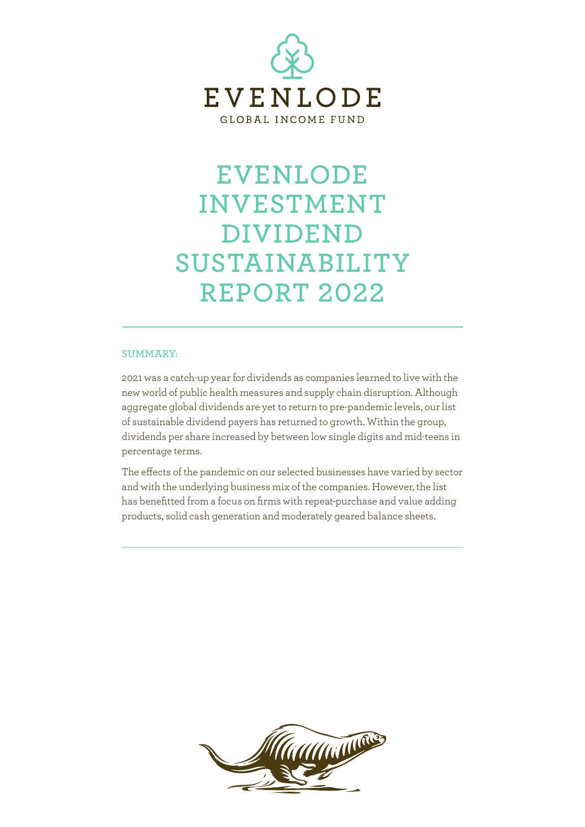

#### **SUMMARY:**

2021 was a catch-up year for dividends as companies learned to live with the new world of public health measures and supply chain disruption. Although aggregate global dividends are yet to return to pre-pandemic levels, our list of sustainable dividend payers has returned to growth. Within the group, dividends per share increased by between low single digits and mid-teens in percentage terms.

The effects of the pandemic on our selected businesses have varied by sector and with the underlying business mix of the companies. However, the list has benefitted from a focus on firms with repeat-purchase and value adding products, solid cash generation and moderately geared balance sheets.

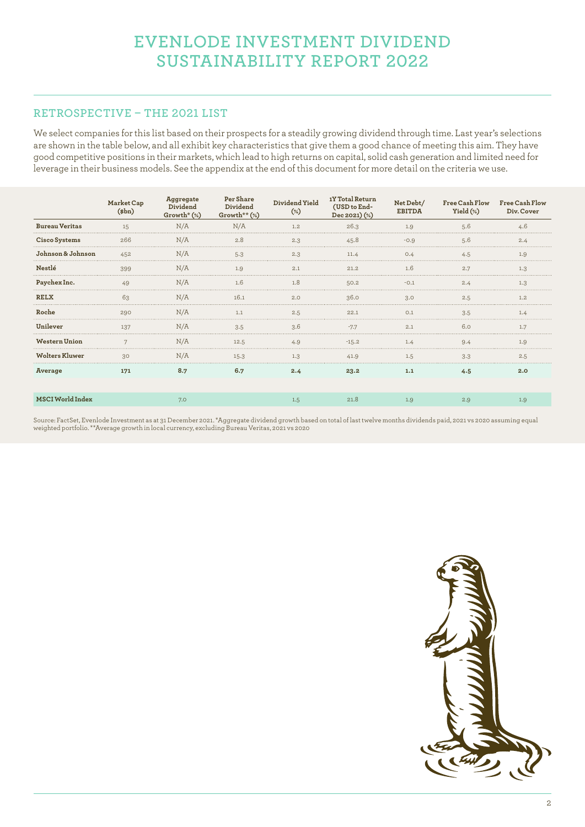### **RETROSPECTIVE – THE 2021 LIST**

We select companies for this list based on their prospects for a steadily growing dividend through time. Last year's selections are shown in the table below, and all exhibit key characteristics that give them a good chance of meeting this aim. They have good competitive positions in their markets, which lead to high returns on capital, solid cash generation and limited need for leverage in their business models. See the appendix at the end of this document for more detail on the criteria we use.

|                       | Market Cap<br>$(\phi)$ | <b>Aggregate</b><br>Dividend<br>$Growth* (*)$ | Per Share<br>Dividend<br>Growth** (%) | Dividend Yield<br>$(*)$ | 1Y Total Return<br>(USD to End-<br>Dec 2021) (%) | Net Debt/<br><b>EBITDA</b> | Free Cash Flow<br>Yield $(*)$ | <b>Free Cash Flow</b><br>Div. Cover |
|-----------------------|------------------------|-----------------------------------------------|---------------------------------------|-------------------------|--------------------------------------------------|----------------------------|-------------------------------|-------------------------------------|
| <b>Bureau Veritas</b> | 15                     | N/A                                           | N/A                                   | 1.2                     | 26.3                                             | 1.9                        | 5.6                           | 4.6                                 |
| Cisco Systems         | 266                    | N/A                                           | 2.8                                   | 2.3                     | 45.8                                             | $-0.9$                     | 5.6                           | 2.4                                 |
| Johnson & Johnson     | 452                    |                                               | 5.3                                   | 2.3                     |                                                  | 0.4                        |                               | 1.9                                 |
| Nestlé                | 399                    | N/A                                           | 1.9                                   | 2.1                     | 21.2                                             | 1.6                        | 2.7                           | 1.3                                 |
| Paychex Inc.          | 49                     | N/A                                           | 1.6                                   | 1.8                     | 50.2                                             | $-0.1$                     | 2.4                           | 1.3                                 |
| <b>RELX</b>           | 63                     | N/A                                           | 16.1                                  | 2.0                     | 36.0                                             | 3.0                        | 2.5                           | 1.2                                 |
| Roche                 | 290                    | N/A                                           | 1.1                                   | 2.5                     | 22.1                                             | O.1                        | 3.5                           |                                     |
| Unilever              | 137                    | N/A                                           | 3.5                                   | 3.6                     |                                                  | 2.1                        | 6.0                           | 1.7                                 |
| <b>Western Union</b>  |                        | N/A                                           | 12.5                                  | 4.9                     | $-15.2$                                          |                            | 9.4                           | 1.9                                 |
| <b>Wolters Kluwer</b> | 30                     | N/A                                           | 15.3                                  | 1.3                     | 41.9                                             | 1.5                        | 3.3                           | 2.5                                 |
| Average               | 171                    | 8.7                                           | 6.7                                   | 2.4                     | 23.2                                             | 1.1                        | 4.5                           | 2.0                                 |
|                       |                        |                                               |                                       |                         |                                                  |                            |                               |                                     |
| MSCI World Index      |                        | 7.0                                           |                                       | 1.5                     | 21.8                                             | 1.9                        | 2.9                           | 1.9                                 |

Source: FactSet, Evenlode Investment as at 31 December 2021. \*Aggregate dividend growth based on total of last twelve months dividends paid, 2021 vs 2020 assuming equal weighted portfolio. \*\*Average growth in local currency, excluding Bureau Veritas, 2021 vs 2020

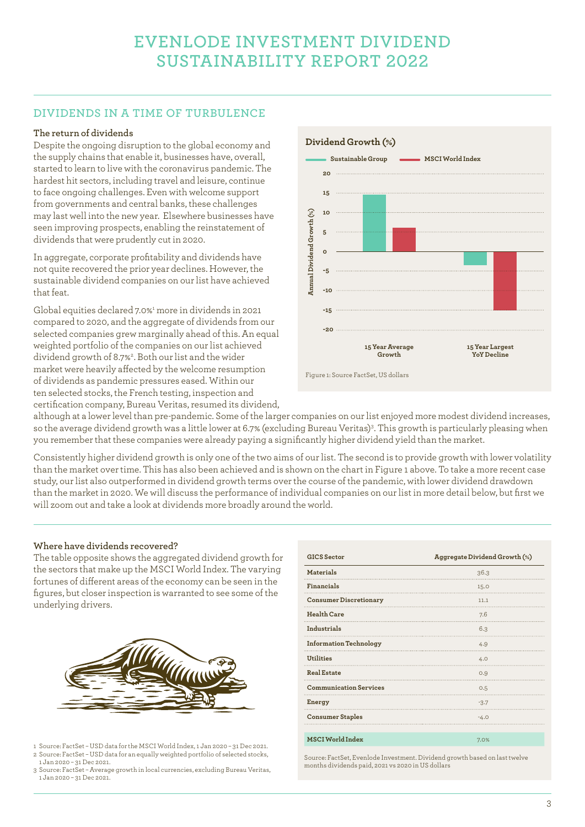# **DIVIDENDS IN A TIME OF TURBULENCE**

#### **The return of dividends**

Despite the ongoing disruption to the global economy and the supply chains that enable it, businesses have, overall, started to learn to live with the coronavirus pandemic. The hardest hit sectors, including travel and leisure, continue to face ongoing challenges. Even with welcome support from governments and central banks, these challenges may last well into the new year. Elsewhere businesses have seen improving prospects, enabling the reinstatement of dividends that were prudently cut in 2020.

In aggregate, corporate profitability and dividends have not quite recovered the prior year declines. However, the sustainable dividend companies on our list have achieved that feat.

Global equities declared 7.0%<sup>1</sup> more in dividends in 2021 compared to 2020, and the aggregate of dividends from our selected companies grew marginally ahead of this. An equal weighted portfolio of the companies on our list achieved dividend growth of 8.7%2 . Both our list and the wider market were heavily affected by the welcome resumption of dividends as pandemic pressures eased. Within our ten selected stocks, the French testing, inspection and certification company, Bureau Veritas, resumed its dividend,



although at a lower level than pre-pandemic. Some of the larger companies on our list enjoyed more modest dividend increases, so the average dividend growth was a little lower at 6.7% (excluding Bureau Veritas)3. This growth is particularly pleasing when you remember that these companies were already paying a significantly higher dividend yield than the market.

Consistently higher dividend growth is only one of the two aims of our list. The second is to provide growth with lower volatility than the market over time. This has also been achieved and is shown on the chart in Figure 1 above. To take a more recent case study, our list also outperformed in dividend growth terms over the course of the pandemic, with lower dividend drawdown than the market in 2020. We will discuss the performance of individual companies on our list in more detail below, but first we will zoom out and take a look at dividends more broadly around the world.

#### **Where have dividends recovered?**

The table opposite shows the aggregated dividend growth for the sectors that make up the MSCI World Index. The varying fortunes of different areas of the economy can be seen in the figures, but closer inspection is warranted to see some of the underlying drivers.



- 1 Source: FactSet USD data for the MSCI World Index, 1 Jan 2020 31 Dec 2021. 2 Source: FactSet – USD data for an equally weighted portfolio of selected stocks, 1 Jan 2020 – 31 Dec 2021.
- 3 Source: FactSet Average growth in local currencies, excluding Bureau Veritas, 1 Jan 2020 – 31 Dec 2021.

| <b>GICS</b> Sector            | Aggregate Dividend Growth (%) |
|-------------------------------|-------------------------------|
| <b>Materials</b>              | 36.3                          |
| Financials                    | 15.0                          |
| <b>Consumer Discretionary</b> | 11.1                          |
| <b>Health Care</b>            | 7.6                           |
| Industrials                   | 6.3                           |
| <b>Information Technology</b> | 4.9                           |
| <b>Utilities</b>              | 4.0                           |
| <b>Real Estate</b>            | 0.9                           |
| <b>Communication Services</b> | 0.5                           |
| Energy                        | $-3.7$                        |
| <b>Consumer Staples</b>       | $-4.0$                        |
| MSCI World Index              | 7.0%                          |

Source: FactSet, Evenlode Investment. Dividend growth based on last twelve months dividends paid, 2021 vs 2020 in US dollars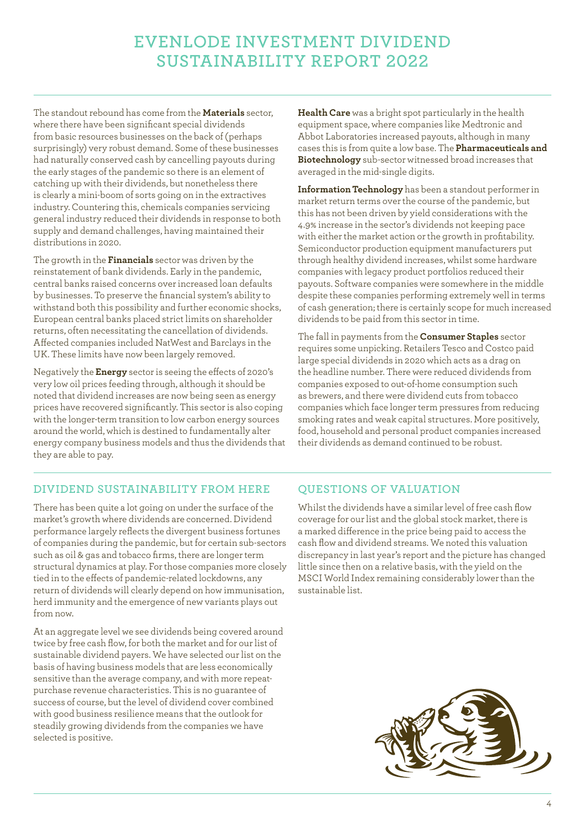The standout rebound has come from the **Materials** sector, where there have been significant special dividends from basic resources businesses on the back of (perhaps surprisingly) very robust demand. Some of these businesses had naturally conserved cash by cancelling payouts during the early stages of the pandemic so there is an element of catching up with their dividends, but nonetheless there is clearly a mini-boom of sorts going on in the extractives industry. Countering this, chemicals companies servicing general industry reduced their dividends in response to both supply and demand challenges, having maintained their distributions in 2020.

The growth in the **Financials** sector was driven by the reinstatement of bank dividends. Early in the pandemic, central banks raised concerns over increased loan defaults by businesses. To preserve the financial system's ability to withstand both this possibility and further economic shocks, European central banks placed strict limits on shareholder returns, often necessitating the cancellation of dividends. Affected companies included NatWest and Barclays in the UK. These limits have now been largely removed.

Negatively the **Energy** sector is seeing the effects of 2020's very low oil prices feeding through, although it should be noted that dividend increases are now being seen as energy prices have recovered significantly. This sector is also coping with the longer-term transition to low carbon energy sources around the world, which is destined to fundamentally alter energy company business models and thus the dividends that they are able to pay.

**Health Care** was a bright spot particularly in the health equipment space, where companies like Medtronic and Abbot Laboratories increased payouts, although in many cases this is from quite a low base. The **Pharmaceuticals and Biotechnology** sub-sector witnessed broad increases that averaged in the mid-single digits.

**Information Technology** has been a standout performer in market return terms over the course of the pandemic, but this has not been driven by yield considerations with the 4.9% increase in the sector's dividends not keeping pace with either the market action or the growth in profitability. Semiconductor production equipment manufacturers put through healthy dividend increases, whilst some hardware companies with legacy product portfolios reduced their payouts. Software companies were somewhere in the middle despite these companies performing extremely well in terms of cash generation; there is certainly scope for much increased dividends to be paid from this sector in time.

The fall in payments from the **Consumer Staples** sector requires some unpicking. Retailers Tesco and Costco paid large special dividends in 2020 which acts as a drag on the headline number. There were reduced dividends from companies exposed to out-of-home consumption such as brewers, and there were dividend cuts from tobacco companies which face longer term pressures from reducing smoking rates and weak capital structures. More positively, food, household and personal product companies increased their dividends as demand continued to be robust.

### **DIVIDEND SUSTAINABILITY FROM HERE**

There has been quite a lot going on under the surface of the market's growth where dividends are concerned. Dividend performance largely reflects the divergent business fortunes of companies during the pandemic, but for certain sub-sectors such as oil & gas and tobacco firms, there are longer term structural dynamics at play. For those companies more closely tied in to the effects of pandemic-related lockdowns, any return of dividends will clearly depend on how immunisation, herd immunity and the emergence of new variants plays out from now.

At an aggregate level we see dividends being covered around twice by free cash flow, for both the market and for our list of sustainable dividend payers. We have selected our list on the basis of having business models that are less economically sensitive than the average company, and with more repeatpurchase revenue characteristics. This is no guarantee of success of course, but the level of dividend cover combined with good business resilience means that the outlook for steadily growing dividends from the companies we have selected is positive.

### **QUESTIONS OF VALUATION**

Whilst the dividends have a similar level of free cash flow coverage for our list and the global stock market, there is a marked difference in the price being paid to access the cash flow and dividend streams. We noted this valuation discrepancy in last year's report and the picture has changed little since then on a relative basis, with the yield on the MSCI World Index remaining considerably lower than the sustainable list.

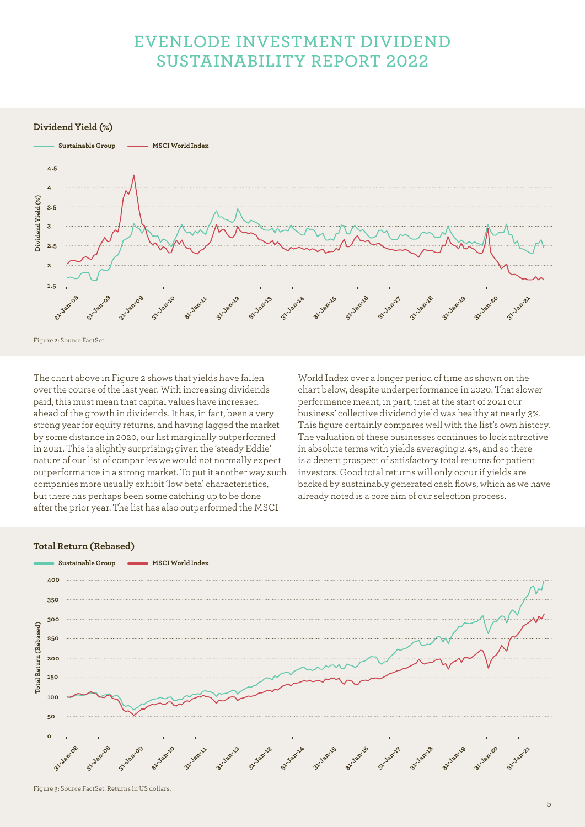**Dividend Yield (%)**



The chart above in Figure 2 shows that yields have fallen over the course of the last year. With increasing dividends paid, this must mean that capital values have increased ahead of the growth in dividends. It has, in fact, been a very strong year for equity returns, and having lagged the market by some distance in 2020, our list marginally outperformed in 2021. This is slightly surprising; given the 'steady Eddie' nature of our list of companies we would not normally expect outperformance in a strong market. To put it another way such companies more usually exhibit 'low beta' characteristics, but there has perhaps been some catching up to be done after the prior year. The list has also outperformed the MSCI

World Index over a longer period of time as shown on the chart below, despite underperformance in 2020. That slower performance meant, in part, that at the start of 2021 our business' collective dividend yield was healthy at nearly 3%. This figure certainly compares well with the list's own history. The valuation of these businesses continues to look attractive in absolute terms with yields averaging 2.4%, and so there is a decent prospect of satisfactory total returns for patient investors. Good total returns will only occur if yields are backed by sustainably generated cash flows, which as we have already noted is a core aim of our selection process.

#### **Total Return (Rebased)**

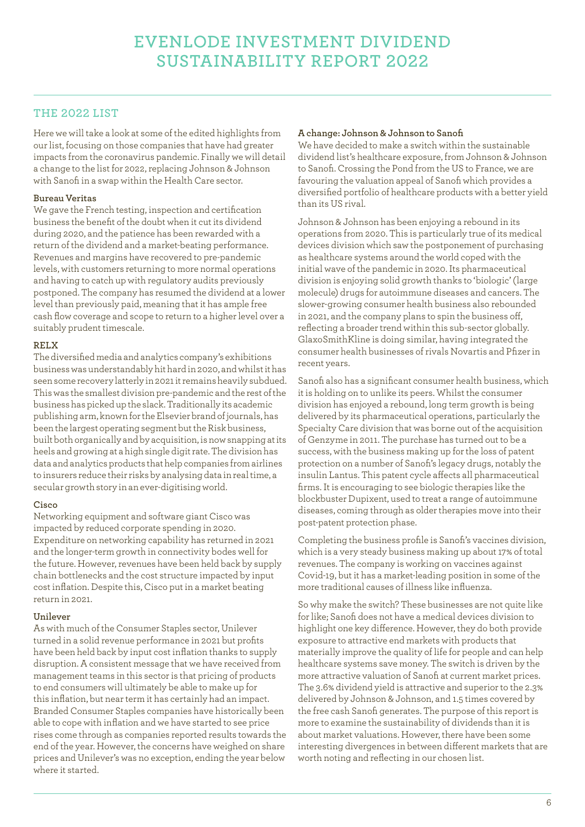### **THE 2022 LIST**

Here we will take a look at some of the edited highlights from our list, focusing on those companies that have had greater impacts from the coronavirus pandemic. Finally we will detail a change to the list for 2022, replacing Johnson & Johnson with Sanofi in a swap within the Health Care sector.

### **Bureau Veritas**

We gave the French testing, inspection and certification business the benefit of the doubt when it cut its dividend during 2020, and the patience has been rewarded with a return of the dividend and a market-beating performance. Revenues and margins have recovered to pre-pandemic levels, with customers returning to more normal operations and having to catch up with regulatory audits previously postponed. The company has resumed the dividend at a lower level than previously paid, meaning that it has ample free cash flow coverage and scope to return to a higher level over a suitably prudent timescale.

### **RELX**

The diversified media and analytics company's exhibitions business was understandably hit hard in 2020, and whilst it has seen some recovery latterly in 2021 it remains heavily subdued. This was the smallest division pre-pandemic and the rest of the business has picked up the slack. Traditionally its academic publishing arm, known for the Elsevier brand of journals, has been the largest operating segment but the Risk business, built both organically and by acquisition, is now snapping at its heels and growing at a high single digit rate. The division has data and analytics products that help companies from airlines to insurers reduce their risks by analysing data in real time, a secular growth story in an ever-digitising world.

#### **Cisco**

Networking equipment and software giant Cisco was impacted by reduced corporate spending in 2020. Expenditure on networking capability has returned in 2021 and the longer-term growth in connectivity bodes well for the future. However, revenues have been held back by supply chain bottlenecks and the cost structure impacted by input cost inflation. Despite this, Cisco put in a market beating return in 2021.

### **Unilever**

As with much of the Consumer Staples sector, Unilever turned in a solid revenue performance in 2021 but profits have been held back by input cost inflation thanks to supply disruption. A consistent message that we have received from management teams in this sector is that pricing of products to end consumers will ultimately be able to make up for this inflation, but near term it has certainly had an impact. Branded Consumer Staples companies have historically been able to cope with inflation and we have started to see price rises come through as companies reported results towards the end of the year. However, the concerns have weighed on share prices and Unilever's was no exception, ending the year below where it started.

### **A change: Johnson & Johnson to Sanofi**

We have decided to make a switch within the sustainable dividend list's healthcare exposure, from Johnson & Johnson to Sanofi. Crossing the Pond from the US to France, we are favouring the valuation appeal of Sanofi which provides a diversified portfolio of healthcare products with a better yield than its US rival.

Johnson & Johnson has been enjoying a rebound in its operations from 2020. This is particularly true of its medical devices division which saw the postponement of purchasing as healthcare systems around the world coped with the initial wave of the pandemic in 2020. Its pharmaceutical division is enjoying solid growth thanks to 'biologic' (large molecule) drugs for autoimmune diseases and cancers. The slower-growing consumer health business also rebounded in 2021, and the company plans to spin the business off, reflecting a broader trend within this sub-sector globally. GlaxoSmithKline is doing similar, having integrated the consumer health businesses of rivals Novartis and Pfizer in recent years.

Sanofi also has a significant consumer health business, which it is holding on to unlike its peers. Whilst the consumer division has enjoyed a rebound, long term growth is being delivered by its pharmaceutical operations, particularly the Specialty Care division that was borne out of the acquisition of Genzyme in 2011. The purchase has turned out to be a success, with the business making up for the loss of patent protection on a number of Sanofi's legacy drugs, notably the insulin Lantus. This patent cycle affects all pharmaceutical firms. It is encouraging to see biologic therapies like the blockbuster Dupixent, used to treat a range of autoimmune diseases, coming through as older therapies move into their post-patent protection phase.

Completing the business profile is Sanofi's vaccines division, which is a very steady business making up about 17% of total revenues. The company is working on vaccines against Covid-19, but it has a market-leading position in some of the more traditional causes of illness like influenza.

So why make the switch? These businesses are not quite like for like; Sanofi does not have a medical devices division to highlight one key difference. However, they do both provide exposure to attractive end markets with products that materially improve the quality of life for people and can help healthcare systems save money. The switch is driven by the more attractive valuation of Sanofi at current market prices. The 3.6% dividend yield is attractive and superior to the 2.3% delivered by Johnson & Johnson, and 1.5 times covered by the free cash Sanofi generates. The purpose of this report is more to examine the sustainability of dividends than it is about market valuations. However, there have been some interesting divergences in between different markets that are worth noting and reflecting in our chosen list.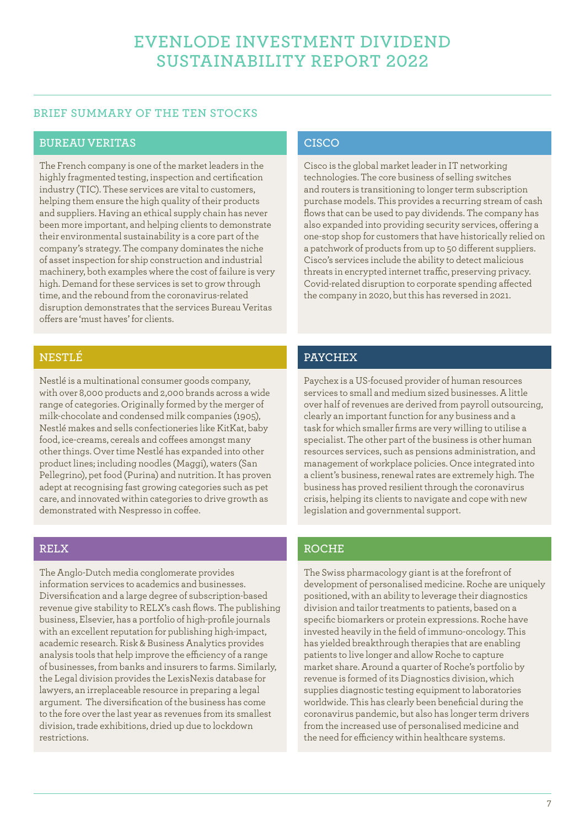### **BRIEF SUMMARY OF THE TEN STOCKS**

### **BUREAU VERITAS**

The French company is one of the market leaders in the highly fragmented testing, inspection and certification industry (TIC). These services are vital to customers, helping them ensure the high quality of their products and suppliers. Having an ethical supply chain has never been more important, and helping clients to demonstrate their environmental sustainability is a core part of the company's strategy. The company dominates the niche of asset inspection for ship construction and industrial machinery, both examples where the cost of failure is very high. Demand for these services is set to grow through time, and the rebound from the coronavirus-related disruption demonstrates that the services Bureau Veritas offers are 'must haves' for clients.

### **NESTLÉ**

Nestlé is a multinational consumer goods company, with over 8,000 products and 2,000 brands across a wide range of categories. Originally formed by the merger of milk-chocolate and condensed milk companies (1905), Nestlé makes and sells confectioneries like KitKat, baby food, ice-creams, cereals and coffees amongst many other things. Over time Nestlé has expanded into other product lines; including noodles (Maggi), waters (San Pellegrino), pet food (Purina) and nutrition. It has proven adept at recognising fast growing categories such as pet care, and innovated within categories to drive growth as demonstrated with Nespresso in coffee.

### **RELX**

The Anglo-Dutch media conglomerate provides information services to academics and businesses. Diversification and a large degree of subscription-based revenue give stability to RELX's cash flows. The publishing business, Elsevier, has a portfolio of high-profile journals with an excellent reputation for publishing high-impact, academic research. Risk & Business Analytics provides analysis tools that help improve the efficiency of a range of businesses, from banks and insurers to farms. Similarly, the Legal division provides the LexisNexis database for lawyers, an irreplaceable resource in preparing a legal argument. The diversification of the business has come to the fore over the last year as revenues from its smallest division, trade exhibitions, dried up due to lockdown restrictions.

### **CISCO**

Cisco is the global market leader in IT networking technologies. The core business of selling switches and routers is transitioning to longer term subscription purchase models. This provides a recurring stream of cash flows that can be used to pay dividends. The company has also expanded into providing security services, offering a one-stop shop for customers that have historically relied on a patchwork of products from up to 50 different suppliers. Cisco's services include the ability to detect malicious threats in encrypted internet traffic, preserving privacy. Covid-related disruption to corporate spending affected the company in 2020, but this has reversed in 2021.

### **PAYCHEX**

Paychex is a US-focused provider of human resources services to small and medium sized businesses. A little over half of revenues are derived from payroll outsourcing, clearly an important function for any business and a task for which smaller firms are very willing to utilise a specialist. The other part of the business is other human resources services, such as pensions administration, and management of workplace policies. Once integrated into a client's business, renewal rates are extremely high. The business has proved resilient through the coronavirus crisis, helping its clients to navigate and cope with new legislation and governmental support.

### **ROCHE**

The Swiss pharmacology giant is at the forefront of development of personalised medicine. Roche are uniquely positioned, with an ability to leverage their diagnostics division and tailor treatments to patients, based on a specific biomarkers or protein expressions. Roche have invested heavily in the field of immuno-oncology. This has yielded breakthrough therapies that are enabling patients to live longer and allow Roche to capture market share. Around a quarter of Roche's portfolio by revenue is formed of its Diagnostics division, which supplies diagnostic testing equipment to laboratories worldwide. This has clearly been beneficial during the coronavirus pandemic, but also has longer term drivers from the increased use of personalised medicine and the need for efficiency within healthcare systems.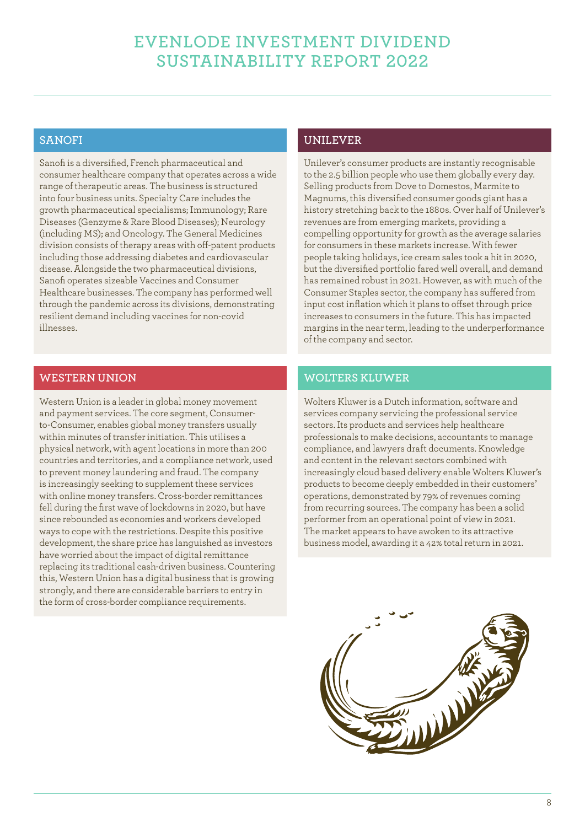### **SANOFI**

Sanofi is a diversified, French pharmaceutical and consumer healthcare company that operates across a wide range of therapeutic areas. The business is structured into four business units. Specialty Care includes the growth pharmaceutical specialisms; Immunology; Rare Diseases (Genzyme & Rare Blood Diseases); Neurology (including MS); and Oncology. The General Medicines division consists of therapy areas with off-patent products including those addressing diabetes and cardiovascular disease. Alongside the two pharmaceutical divisions, Sanofi operates sizeable Vaccines and Consumer Healthcare businesses. The company has performed well through the pandemic across its divisions, demonstrating resilient demand including vaccines for non-covid illnesses.

# **WESTERN UNION**

Western Union is a leader in global money movement and payment services. The core segment, Consumerto-Consumer, enables global money transfers usually within minutes of transfer initiation. This utilises a physical network, with agent locations in more than 200 countries and territories, and a compliance network, used to prevent money laundering and fraud. The company is increasingly seeking to supplement these services with online money transfers. Cross-border remittances fell during the first wave of lockdowns in 2020, but have since rebounded as economies and workers developed ways to cope with the restrictions. Despite this positive development, the share price has languished as investors have worried about the impact of digital remittance replacing its traditional cash-driven business. Countering this, Western Union has a digital business that is growing strongly, and there are considerable barriers to entry in the form of cross-border compliance requirements.

# **UNILEVER**

Unilever's consumer products are instantly recognisable to the 2.5 billion people who use them globally every day. Selling products from Dove to Domestos, Marmite to Magnums, this diversified consumer goods giant has a history stretching back to the 1880s. Over half of Unilever's revenues are from emerging markets, providing a compelling opportunity for growth as the average salaries for consumers in these markets increase. With fewer people taking holidays, ice cream sales took a hit in 2020, but the diversified portfolio fared well overall, and demand has remained robust in 2021. However, as with much of the Consumer Staples sector, the company has suffered from input cost inflation which it plans to offset through price increases to consumers in the future. This has impacted margins in the near term, leading to the underperformance of the company and sector.

### **WOLTERS KLUWER**

Wolters Kluwer is a Dutch information, software and services company servicing the professional service sectors. Its products and services help healthcare professionals to make decisions, accountants to manage compliance, and lawyers draft documents. Knowledge and content in the relevant sectors combined with increasingly cloud based delivery enable Wolters Kluwer's products to become deeply embedded in their customers' operations, demonstrated by 79% of revenues coming from recurring sources. The company has been a solid performer from an operational point of view in 2021. The market appears to have awoken to its attractive business model, awarding it a 42% total return in 2021.

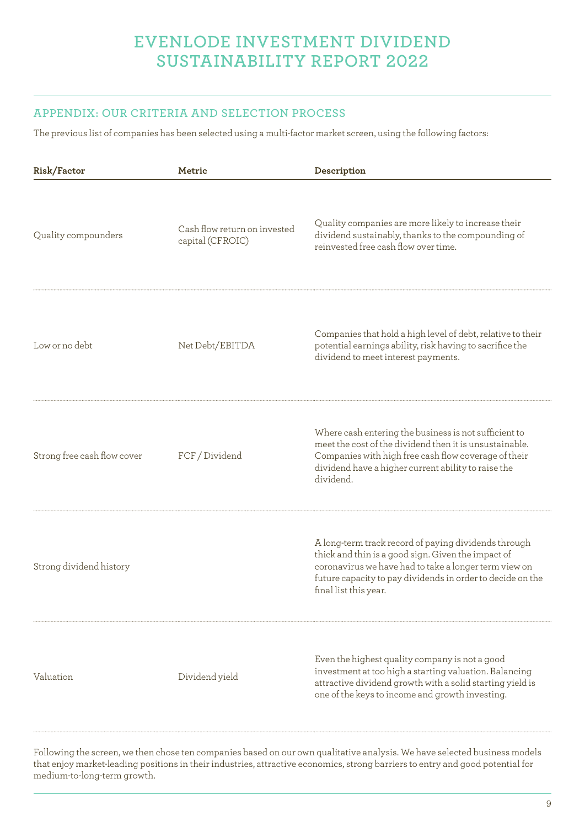# **APPENDIX: OUR CRITERIA AND SELECTION PROCESS**

The previous list of companies has been selected using a multi-factor market screen, using the following factors:

| Risk/Factor                 | Metric                                           | Description                                                                                                                                                                                                                                                |
|-----------------------------|--------------------------------------------------|------------------------------------------------------------------------------------------------------------------------------------------------------------------------------------------------------------------------------------------------------------|
| Quality compounders         | Cash flow return on invested<br>capital (CFROIC) | Quality companies are more likely to increase their<br>dividend sustainably, thanks to the compounding of<br>reinvested free cash flow over time.                                                                                                          |
| Low or no debt              | Net Debt/EBITDA                                  | Companies that hold a high level of debt, relative to their<br>potential earnings ability, risk having to sacrifice the<br>dividend to meet interest payments.                                                                                             |
| Strong free cash flow cover | FCF / Dividend                                   | Where cash entering the business is not sufficient to<br>meet the cost of the dividend then it is unsustainable.<br>Companies with high free cash flow coverage of their<br>dividend have a higher current ability to raise the<br>dividend.               |
| Strong dividend history     |                                                  | A long-term track record of paying dividends through<br>thick and thin is a good sign. Given the impact of<br>coronavirus we have had to take a longer term view on<br>future capacity to pay dividends in order to decide on the<br>final list this year. |
| Valuation                   | Dividend yield                                   | Even the highest quality company is not a good<br>investment at too high a starting valuation. Balancing<br>attractive dividend growth with a solid starting yield is<br>one of the keys to income and growth investing.                                   |

Following the screen, we then chose ten companies based on our own qualitative analysis. We have selected business models that enjoy market-leading positions in their industries, attractive economics, strong barriers to entry and good potential for medium-to-long-term growth.